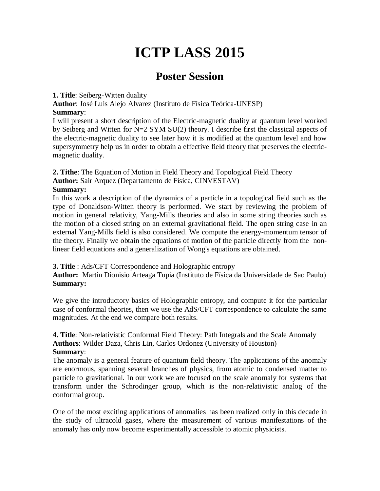# **ICTP LASS 2015**

# **Poster Session**

#### **1. Title**: Seiberg-Witten duality

**Author**: José Luis Alejo Alvarez (Instituto de Física Teórica-UNESP) **Summary**:

I will present a short description of the Electric-magnetic duality at quantum level worked by Seiberg and Witten for N=2 SYM SU(2) theory. I describe first the classical aspects of the electric-magnetic duality to see later how it is modified at the quantum level and how supersymmetry help us in order to obtain a effective field theory that preserves the electricmagnetic duality.

**2. Tithe**: The Equation of Motion in Field Theory and Topological Field Theory

**Author:** Sair Arquez (Departamento de Física, CINVESTAV)

## **Summary:**

In this work a description of the dynamics of a particle in a topological field such as the type of Donaldson-Witten theory is performed. We start by reviewing the problem of motion in general relativity, Yang-Mills theories and also in some string theories such as the motion of a closed string on an external gravitational field. The open string case in an external Yang-Mills field is also considered. We compute the energy-momentum tensor of the theory. Finally we obtain the equations of motion of the particle directly from the nonlinear field equations and a generalization of Wong's equations are obtained.

## **3. Title** : Ads/CFT Correspondence and Holographic entropy

**Author:** Martin Dionisio Arteaga Tupia (Instituto de Física da Universidade de Sao Paulo) **Summary:**

We give the introductory basics of Holographic entropy, and compute it for the particular case of conformal theories, then we use the AdS/CFT correspondence to calculate the same magnitudes. At the end we compare both results.

**4. Title**: Non-relativistic Conformal Field Theory: Path Integrals and the Scale Anomaly **Authors**: Wilder Daza, Chris Lin, Carlos Ordonez (University of Houston) **Summary**:

The anomaly is a general feature of quantum field theory. The applications of the anomaly are enormous, spanning several branches of physics, from atomic to condensed matter to particle to gravitational. In our work we are focused on the scale anomaly for systems that transform under the Schrodinger group, which is the non-relativistic analog of the conformal group.

One of the most exciting applications of anomalies has been realized only in this decade in the study of ultracold gases, where the measurement of various manifestations of the anomaly has only now become experimentally accessible to atomic physicists.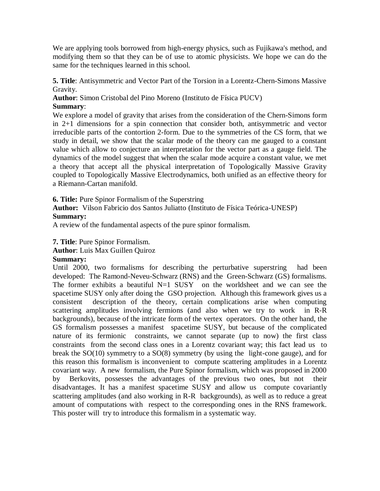We are applying tools borrowed from high-energy physics, such as Fujikawa's method, and modifying them so that they can be of use to atomic physicists. We hope we can do the same for the techniques learned in this school.

**5. Title**: Antisymmetric and Vector Part of the Torsion in a Lorentz-Chern-Simons Massive Gravity.

**Author**: Simon Cristobal del Pino Moreno (Instituto de Física PUCV) **Summary**:

We explore a model of gravity that arises from the consideration of the Chern-Simons form in 2+1 dimensions for a spin connection that consider both, antisymmetric and vector irreducible parts of the contortion 2-form. Due to the symmetries of the CS form, that we study in detail, we show that the scalar mode of the theory can me gauged to a constant value which allow to conjecture an interpretation for the vector part as a gauge field. The dynamics of the model suggest that when the scalar mode acquire a constant value, we met a theory that accept all the physical interpretation of Topologically Massive Gravity coupled to Topologically Massive Electrodynamics, both unified as an effective theory for a Riemann-Cartan manifold.

**6. Title:** Pure Spinor Formalism of the Superstring

**Author:** Vilson Fabricio dos Santos Juliatto (Instituto de Física Teórica-UNESP) **Summary:**

A review of the fundamental aspects of the pure spinor formalism.

**7. Title**: Pure Spinor Formalism.

**Author**: Luis Max Guillen Quiroz

#### **Summary:**

Until 2000, two formalisms for describing the perturbative superstring had been developed: The Ramond-Neveu-Schwarz (RNS) and the Green-Schwarz (GS) formalisms. The former exhibits a beautiful  $N=1$  SUSY on the worldsheet and we can see the spacetime SUSY only after doing the GSO projection. Although this framework gives us a consistent description of the theory, certain complications arise when computing scattering amplitudes involving fermions (and also when we try to work in R-R backgrounds), because of the intricate form of the vertex operators. On the other hand, the GS formalism possesses a manifest spacetime SUSY, but because of the complicated nature of its fermionic constraints, we cannot separate (up to now) the first class constraints from the second class ones in a Lorentz covariant way; this fact lead us to break the SO(10) symmetry to a SO(8) symmetry (by using the light-cone gauge), and for this reason this formalism is inconvenient to compute scattering amplitudes in a Lorentz covariant way. A new formalism, the Pure Spinor formalism, which was proposed in 2000 by Berkovits, possesses the advantages of the previous two ones, but not their disadvantages. It has a manifest spacetime SUSY and allow us compute covariantly scattering amplitudes (and also working in R-R backgrounds), as well as to reduce a great amount of computations with respect to the corresponding ones in the RNS framework. This poster will try to introduce this formalism in a systematic way.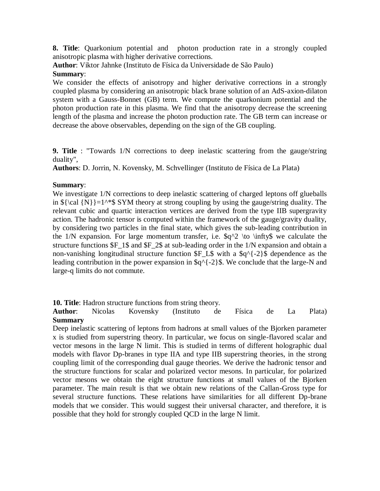**8. Title**: Quarkonium potential and photon production rate in a strongly coupled anisotropic plasma with higher derivative corrections.

**Author**: Viktor Jahnke (Instituto de Física da Universidade de São Paulo) **Summary**:

We consider the effects of anisotropy and higher derivative corrections in a strongly coupled plasma by considering an anisotropic black brane solution of an AdS-axion-dilaton system with a Gauss-Bonnet (GB) term. We compute the quarkonium potential and the photon production rate in this plasma. We find that the anisotropy decrease the screening length of the plasma and increase the photon production rate. The GB term can increase or decrease the above observables, depending on the sign of the GB coupling.

**9. Title** : "Towards 1/N corrections to deep inelastic scattering from the gauge/string duality",

**Authors**: D. Jorrin, N. Kovensky, M. Schvellinger (Instituto de Física de La Plata)

#### **Summary**:

We investigate  $1/N$  corrections to deep inelastic scattering of charged leptons off glueballs in  ${\cal N}\cal N$  =1^\*\$ SYM theory at strong coupling by using the gauge/string duality. The relevant cubic and quartic interaction vertices are derived from the type IIB supergravity action. The hadronic tensor is computed within the framework of the gauge/gravity duality, by considering two particles in the final state, which gives the sub-leading contribution in the  $1/N$  expansion. For large momentum transfer, i.e.  $\frac{q}{2} \to \infty$  we calculate the structure functions \$F\_1\$ and \$F\_2\$ at sub-leading order in the 1/N expansion and obtain a non-vanishing longitudinal structure function  $F_L$  with a  $\qquad\qquad$  {-2}\$ dependence as the leading contribution in the power expansion in  $\qquad\qquad$  {-2}\$. We conclude that the large-N and large-q limits do not commute.

**10. Title**: Hadron structure functions from string theory.

**Author**: Nicolas Kovensky (Instituto de Física de La Plata) **Summary**

Deep inelastic scattering of leptons from hadrons at small values of the Bjorken parameter x is studied from superstring theory. In particular, we focus on single-flavored scalar and vector mesons in the large N limit. This is studied in terms of different holographic dual models with flavor Dp-branes in type IIA and type IIB superstring theories, in the strong coupling limit of the corresponding dual gauge theories. We derive the hadronic tensor and the structure functions for scalar and polarized vector mesons. In particular, for polarized vector mesons we obtain the eight structure functions at small values of the Bjorken parameter. The main result is that we obtain new relations of the Callan-Gross type for several structure functions. These relations have similarities for all different Dp-brane models that we consider. This would suggest their universal character, and therefore, it is possible that they hold for strongly coupled QCD in the large N limit.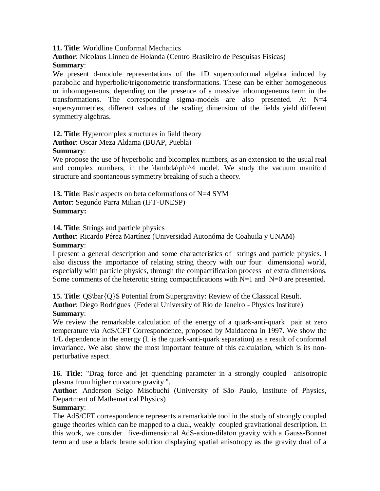**11. Title**: Worldline Conformal Mechanics

**Author**: Nicolaus Linneu de Holanda (Centro Brasileiro de Pesquisas Físicas)

#### **Summary**:

We present d-module representations of the 1D superconformal algebra induced by parabolic and hyperbolic/trigonometric transformations. These can be either homogeneous or inhomogeneous, depending on the presence of a massive inhomogeneous term in the transformations. The corresponding sigma-models are also presented. At  $N=4$ supersymmetries, different values of the scaling dimension of the fields yield different symmetry algebras.

**12. Title**: Hypercomplex structures in field theory

**Author**: Oscar Meza Aldama (BUAP, Puebla)

#### **Summary**:

We propose the use of hyperbolic and bicomplex numbers, as an extension to the usual real and complex numbers, in the \lambda\phi^4 model. We study the vacuum manifold structure and spontaneous symmetry breaking of such a theory.

**13. Title**: Basic aspects on beta deformations of N=4 SYM **Autor**: Segundo Parra Milian (IFT-UNESP) **Summary:**

**14. Title**: Strings and particle physics

**Author**: Ricardo Pérez Martínez (Universidad Autonóma de Coahuila y UNAM) **Summary**:

I present a general description and some characteristics of strings and particle physics. I also discuss the importance of relating string theory with our four dimensional world, especially with particle physics, through the compactification process of extra dimensions. Some comments of the heterotic string compactifications with  $N=1$  and  $N=0$  are presented.

**15. Title**: Q\$\bar{Q}\$ Potential from Supergravity: Review of the Classical Result. **Author**: Diego Rodrigues (Federal University of Rio de Janeiro - Physics Institute) **Summary**:

We review the remarkable calculation of the energy of a quark-anti-quark pair at zero temperature via AdS/CFT Correspondence, proposed by Maldacena in 1997. We show the 1/L dependence in the energy (L is the quark-anti-quark separation) as a result of conformal invariance. We also show the most important feature of this calculation, which is its nonperturbative aspect.

**16. Title**: "Drag force and jet quenching parameter in a strongly coupled anisotropic plasma from higher curvature gravity ".

**Author**: Anderson Seigo Misobuchi (University of São Paulo, Institute of Physics, Department of Mathematical Physics)

## **Summary**:

The AdS/CFT correspondence represents a remarkable tool in the study of strongly coupled gauge theories which can be mapped to a dual, weakly coupled gravitational description. In this work, we consider five-dimensional AdS-axion-dilaton gravity with a Gauss-Bonnet term and use a black brane solution displaying spatial anisotropy as the gravity dual of a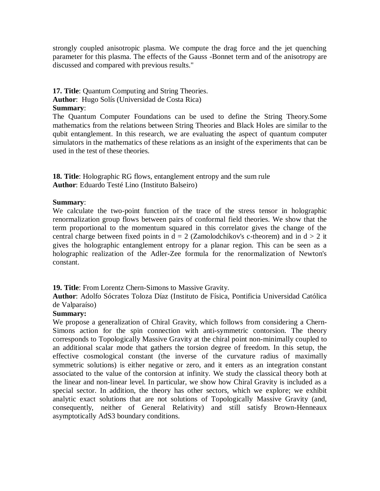strongly coupled anisotropic plasma. We compute the drag force and the jet quenching parameter for this plasma. The effects of the Gauss -Bonnet term and of the anisotropy are discussed and compared with previous results."

#### **17. Title**: Quantum Computing and String Theories.

**Author**: Hugo Solís (Universidad de Costa Rica)

#### **Summary**:

The Quantum Computer Foundations can be used to define the String Theory.Some mathematics from the relations between String Theories and Black Holes are similar to the qubit entanglement. In this research, we are evaluating the aspect of quantum computer simulators in the mathematics of these relations as an insight of the experiments that can be used in the test of these theories.

**18. Title**: Holographic RG flows, entanglement entropy and the sum rule **Author**: Eduardo Testé Lino (Instituto Balseiro)

#### **Summary**:

We calculate the two-point function of the trace of the stress tensor in holographic renormalization group flows between pairs of conformal field theories. We show that the term proportional to the momentum squared in this correlator gives the change of the central charge between fixed points in  $d = 2$  (Zamolodchikov's c-theorem) and in  $d > 2$  it gives the holographic entanglement entropy for a planar region. This can be seen as a holographic realization of the Adler-Zee formula for the renormalization of Newton's constant.

**19. Title**: From Lorentz Chern-Simons to Massive Gravity.

**Author**: Adolfo Sócrates Toloza Díaz (Instituto de Física, Pontificia Universidad Católica de Valparaíso)

#### **Summary:**

We propose a generalization of Chiral Gravity, which follows from considering a Chern-Simons action for the spin connection with anti-symmetric contorsion. The theory corresponds to Topologically Massive Gravity at the chiral point non-minimally coupled to an additional scalar mode that gathers the torsion degree of freedom. In this setup, the effective cosmological constant (the inverse of the curvature radius of maximally symmetric solutions) is either negative or zero, and it enters as an integration constant associated to the value of the contorsion at infinity. We study the classical theory both at the linear and non-linear level. In particular, we show how Chiral Gravity is included as a special sector. In addition, the theory has other sectors, which we explore; we exhibit analytic exact solutions that are not solutions of Topologically Massive Gravity (and, consequently, neither of General Relativity) and still satisfy Brown-Henneaux asymptotically AdS3 boundary conditions.